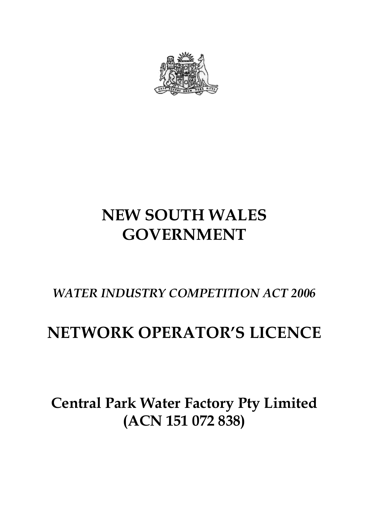

# **NEW SOUTH WALES GOVERNMENT**

# *WATER INDUSTRY COMPETITION ACT 2006*

# **NETWORK OPERATOR'S LICENCE**

# **Central Park Water Factory Pty Limited (ACN 151 072 838)**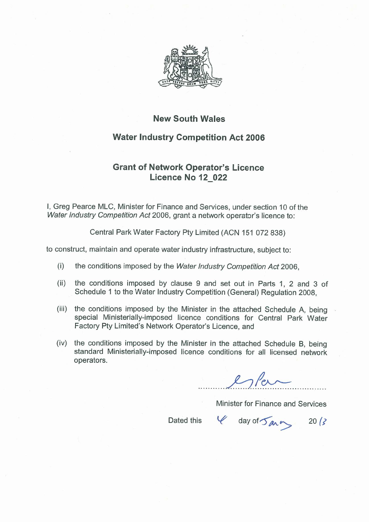

### **New South Wales**

## **Water Industry Competition Act 2006**

# **Grant of Network Operator's Licence** Licence No 12 022

I, Greg Pearce MLC, Minister for Finance and Services, under section 10 of the Water Industry Competition Act 2006, grant a network operator's licence to:

Central Park Water Factory Pty Limited (ACN 151 072 838)

to construct, maintain and operate water industry infrastructure, subject to:

- $(i)$ the conditions imposed by the Water Industry Competition Act 2006.
- the conditions imposed by clause 9 and set out in Parts 1, 2 and 3 of  $(ii)$ Schedule 1 to the Water Industry Competition (General) Regulation 2008.
- (iii) the conditions imposed by the Minister in the attached Schedule A, being special Ministerially-imposed licence conditions for Central Park Water Factory Pty Limited's Network Operator's Licence, and
- the conditions imposed by the Minister in the attached Schedule B, being  $(iv)$ standard Ministerially-imposed licence conditions for all licensed network operators.

 $l$  of  $l$ 

Minister for Finance and Services

Dated this

 $\frac{1}{2}$  day of  $\frac{1}{2}$  arr 20/3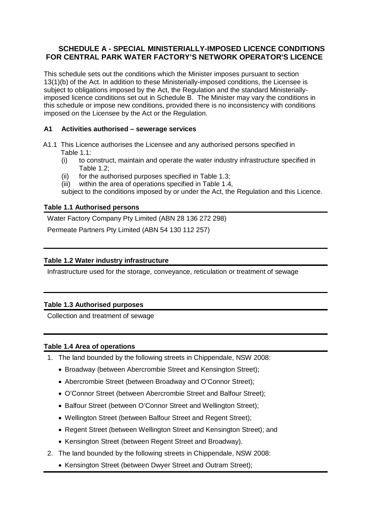### **SCHEDULE A - SPECIAL MINISTERIALLY-IMPOSED LICENCE CONDITIONS FOR CENTRAL PARK WATER FACTORY'S NETWORK OPERATOR'S LICENCE**

This schedule sets out the conditions which the Minister imposes pursuant to section 13(1)(b) of the Act. In addition to these Ministerially-imposed conditions, the Licensee is subject to obligations imposed by the Act, the Regulation and the standard Ministeriallyimposed licence conditions set out in Schedule B. The Minister may vary the conditions in this schedule or impose new conditions, provided there is no inconsistency with conditions imposed on the Licensee by the Act or the Regulation.

#### **A1 Activities authorised – sewerage services**

- A1.1 This Licence authorises the Licensee and any authorised persons specified in Table 1.1:
	- (i) to construct, maintain and operate the water industry infrastructure specified in Table 1.2;
	- (ii) for the authorised purposes specified in Table 1.3;
	- (iii) within the area of operations specified in Table 1.4,

subject to the conditions imposed by or under the Act, the Regulation and this Licence.

#### **Table 1.1 Authorised persons**

Water Factory Company Pty Limited (ABN 28 136 272 298)

Permeate Partners Pty Limited (ABN 54 130 112 257)

#### **Table 1.2 Water industry infrastructure**

Infrastructure used for the storage, conveyance, reticulation or treatment of sewage

#### **Table 1.3 Authorised purposes**

Collection and treatment of sewage

#### **Table 1.4 Area of operations**

- 1. The land bounded by the following streets in Chippendale, NSW 2008:
	- Broadway (between Abercrombie Street and Kensington Street);
	- Abercrombie Street (between Broadway and O'Connor Street);
	- O'Connor Street (between Abercrombie Street and Balfour Street);
	- Balfour Street (between O'Connor Street and Wellington Street);
	- Wellington Street (between Balfour Street and Regent Street);
	- Regent Street (between Wellington Street and Kensington Street); and
	- Kensington Street (between Regent Street and Broadway).
- 2. The land bounded by the following streets in Chippendale, NSW 2008:
	- Kensington Street (between Dwyer Street and Outram Street);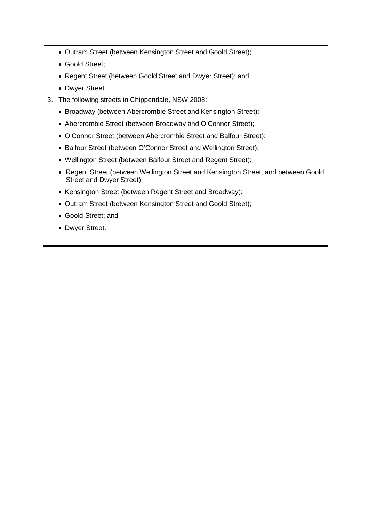- Outram Street (between Kensington Street and Goold Street);
- Goold Street;
- Regent Street (between Goold Street and Dwyer Street); and
- Dwyer Street.
- 3. The following streets in Chippendale, NSW 2008:
	- Broadway (between Abercrombie Street and Kensington Street);
	- Abercrombie Street (between Broadway and O'Connor Street);
	- O'Connor Street (between Abercrombie Street and Balfour Street);
	- Balfour Street (between O'Connor Street and Wellington Street);
	- Wellington Street (between Balfour Street and Regent Street);
	- Regent Street (between Wellington Street and Kensington Street, and between Goold Street and Dwyer Street);
	- Kensington Street (between Regent Street and Broadway);
	- Outram Street (between Kensington Street and Goold Street);
	- Goold Street; and
	- Dwyer Street.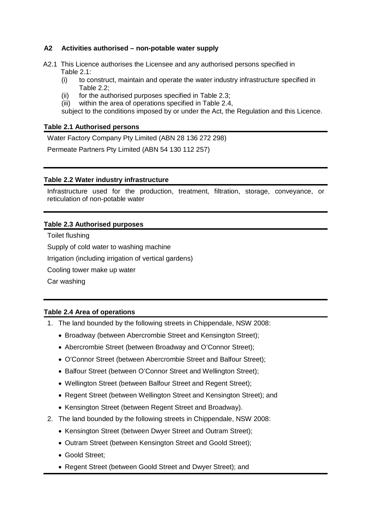#### **A2 Activities authorised – non-potable water supply**

- A2.1 This Licence authorises the Licensee and any authorised persons specified in Table 2.1:
	- (i) to construct, maintain and operate the water industry infrastructure specified in Table 2.2;
	- (ii) for the authorised purposes specified in Table 2.3;
	- (iii) within the area of operations specified in Table 2.4,

subject to the conditions imposed by or under the Act, the Regulation and this Licence.

#### **Table 2.1 Authorised persons**

Water Factory Company Pty Limited (ABN 28 136 272 298)

Permeate Partners Pty Limited (ABN 54 130 112 257)

#### **Table 2.2 Water industry infrastructure**

Infrastructure used for the production, treatment, filtration, storage, conveyance, or reticulation of non-potable water

#### **Table 2.3 Authorised purposes**

Toilet flushing

Supply of cold water to washing machine

Irrigation (including irrigation of vertical gardens)

Cooling tower make up water

Car washing

#### **Table 2.4 Area of operations**

- 1. The land bounded by the following streets in Chippendale, NSW 2008:
	- Broadway (between Abercrombie Street and Kensington Street);
	- Abercrombie Street (between Broadway and O'Connor Street);
	- O'Connor Street (between Abercrombie Street and Balfour Street);
	- Balfour Street (between O'Connor Street and Wellington Street);
	- Wellington Street (between Balfour Street and Regent Street);
	- Regent Street (between Wellington Street and Kensington Street); and
	- Kensington Street (between Regent Street and Broadway).
- 2. The land bounded by the following streets in Chippendale, NSW 2008:
	- Kensington Street (between Dwyer Street and Outram Street);
	- Outram Street (between Kensington Street and Goold Street);
	- Goold Street;
	- Regent Street (between Goold Street and Dwyer Street); and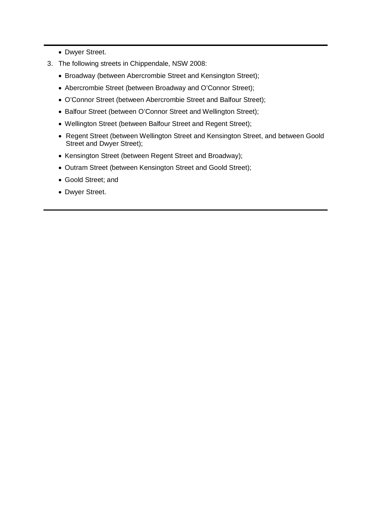- Dwyer Street.
- 3. The following streets in Chippendale, NSW 2008:
	- Broadway (between Abercrombie Street and Kensington Street);
	- Abercrombie Street (between Broadway and O'Connor Street);
	- O'Connor Street (between Abercrombie Street and Balfour Street);
	- Balfour Street (between O'Connor Street and Wellington Street);
	- Wellington Street (between Balfour Street and Regent Street);
	- Regent Street (between Wellington Street and Kensington Street, and between Goold Street and Dwyer Street);
	- Kensington Street (between Regent Street and Broadway);
	- Outram Street (between Kensington Street and Goold Street);
	- Goold Street; and
	- Dwyer Street.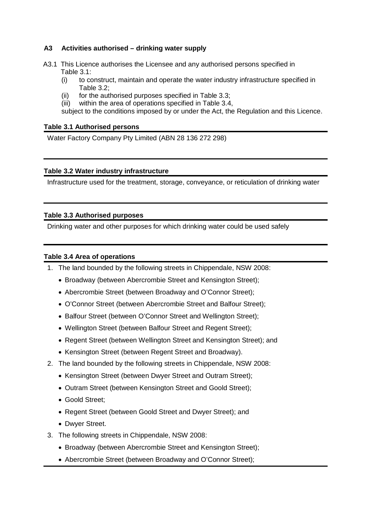#### **A3 Activities authorised – drinking water supply**

- A3.1 This Licence authorises the Licensee and any authorised persons specified in Table 3.1:
	- (i) to construct, maintain and operate the water industry infrastructure specified in Table 3.2;
	- (ii) for the authorised purposes specified in Table 3.3;
	- (iii) within the area of operations specified in Table 3.4,

subject to the conditions imposed by or under the Act, the Regulation and this Licence.

#### **Table 3.1 Authorised persons**

Water Factory Company Pty Limited (ABN 28 136 272 298)

#### **Table 3.2 Water industry infrastructure**

Infrastructure used for the treatment, storage, conveyance, or reticulation of drinking water

#### **Table 3.3 Authorised purposes**

Drinking water and other purposes for which drinking water could be used safely

#### **Table 3.4 Area of operations**

- 1. The land bounded by the following streets in Chippendale, NSW 2008:
	- Broadway (between Abercrombie Street and Kensington Street);
	- Abercrombie Street (between Broadway and O'Connor Street);
	- O'Connor Street (between Abercrombie Street and Balfour Street);
	- Balfour Street (between O'Connor Street and Wellington Street);
	- Wellington Street (between Balfour Street and Regent Street);
	- Regent Street (between Wellington Street and Kensington Street); and
	- Kensington Street (between Regent Street and Broadway).
- 2. The land bounded by the following streets in Chippendale, NSW 2008:
	- Kensington Street (between Dwyer Street and Outram Street);
	- Outram Street (between Kensington Street and Goold Street);
	- Goold Street;
	- Regent Street (between Goold Street and Dwyer Street); and
	- Dwyer Street.
- 3. The following streets in Chippendale, NSW 2008:
	- Broadway (between Abercrombie Street and Kensington Street);
	- Abercrombie Street (between Broadway and O'Connor Street);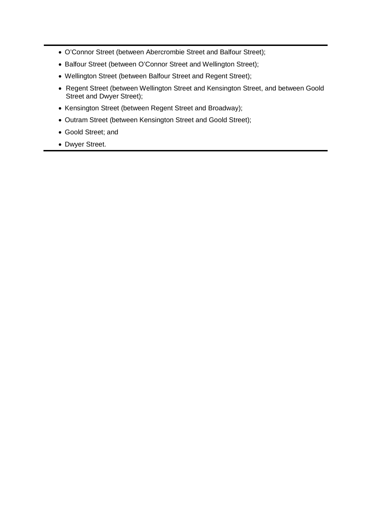- O'Connor Street (between Abercrombie Street and Balfour Street);
- Balfour Street (between O'Connor Street and Wellington Street);
- Wellington Street (between Balfour Street and Regent Street);
- Regent Street (between Wellington Street and Kensington Street, and between Goold Street and Dwyer Street);
- Kensington Street (between Regent Street and Broadway);
- Outram Street (between Kensington Street and Goold Street);
- Goold Street; and
- Dwyer Street.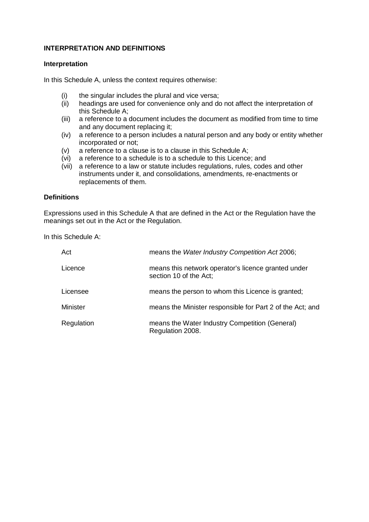#### **INTERPRETATION AND DEFINITIONS**

#### **Interpretation**

In this Schedule A, unless the context requires otherwise:

- (i) the singular includes the plural and vice versa;
- (ii) headings are used for convenience only and do not affect the interpretation of this Schedule A;
- (iii) a reference to a document includes the document as modified from time to time and any document replacing it;
- (iv) a reference to a person includes a natural person and any body or entity whether incorporated or not;
- (v) a reference to a clause is to a clause in this Schedule A;
- (vi) a reference to a schedule is to a schedule to this Licence; and
- (vii) a reference to a law or statute includes regulations, rules, codes and other instruments under it, and consolidations, amendments, re-enactments or replacements of them.

#### **Definitions**

Expressions used in this Schedule A that are defined in the Act or the Regulation have the meanings set out in the Act or the Regulation.

In this Schedule A:

| Act             | means the Water Industry Competition Act 2006;                                |
|-----------------|-------------------------------------------------------------------------------|
| Licence         | means this network operator's licence granted under<br>section 10 of the Act; |
| Licensee        | means the person to whom this Licence is granted;                             |
| <b>Minister</b> | means the Minister responsible for Part 2 of the Act; and                     |
| Regulation      | means the Water Industry Competition (General)<br>Regulation 2008.            |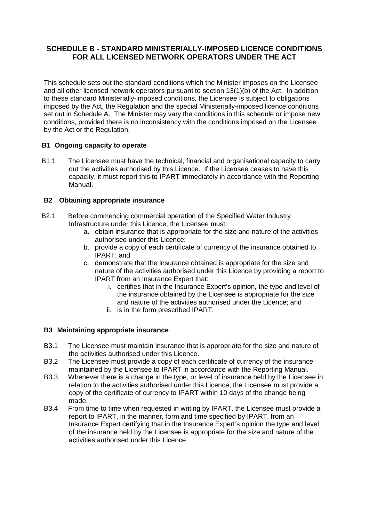### **SCHEDULE B - STANDARD MINISTERIALLY-IMPOSED LICENCE CONDITIONS FOR ALL LICENSED NETWORK OPERATORS UNDER THE ACT**

This schedule sets out the standard conditions which the Minister imposes on the Licensee and all other licensed network operators pursuant to section 13(1)(b) of the Act. In addition to these standard Ministerially-imposed conditions, the Licensee is subject to obligations imposed by the Act, the Regulation and the special Ministerially-imposed licence conditions set out in Schedule A. The Minister may vary the conditions in this schedule or impose new conditions, provided there is no inconsistency with the conditions imposed on the Licensee by the Act or the Regulation.

#### **B1 Ongoing capacity to operate**

B1.1 The Licensee must have the technical, financial and organisational capacity to carry out the activities authorised by this Licence. If the Licensee ceases to have this capacity, it must report this to IPART immediately in accordance with the Reporting Manual.

#### **B2 Obtaining appropriate insurance**

- B2.1 Before commencing commercial operation of the Specified Water Industry Infrastructure under this Licence, the Licensee must:
	- a. obtain insurance that is appropriate for the size and nature of the activities authorised under this Licence;
	- b. provide a copy of each certificate of currency of the insurance obtained to IPART; and
	- c. demonstrate that the insurance obtained is appropriate for the size and nature of the activities authorised under this Licence by providing a report to IPART from an Insurance Expert that:
		- i. certifies that in the Insurance Expert's opinion, the type and level of the insurance obtained by the Licensee is appropriate for the size and nature of the activities authorised under the Licence; and
		- ii. is in the form prescribed IPART.

#### **B3 Maintaining appropriate insurance**

- B3.1 The Licensee must maintain insurance that is appropriate for the size and nature of the activities authorised under this Licence.
- B3.2 The Licensee must provide a copy of each certificate of currency of the insurance maintained by the Licensee to IPART in accordance with the Reporting Manual.
- B3.3 Whenever there is a change in the type, or level of insurance held by the Licensee in relation to the activities authorised under this Licence, the Licensee must provide a copy of the certificate of currency to IPART within 10 days of the change being made.
- B3.4 From time to time when requested in writing by IPART, the Licensee must provide a report to IPART, in the manner, form and time specified by IPART, from an Insurance Expert certifying that in the Insurance Expert's opinion the type and level of the insurance held by the Licensee is appropriate for the size and nature of the activities authorised under this Licence.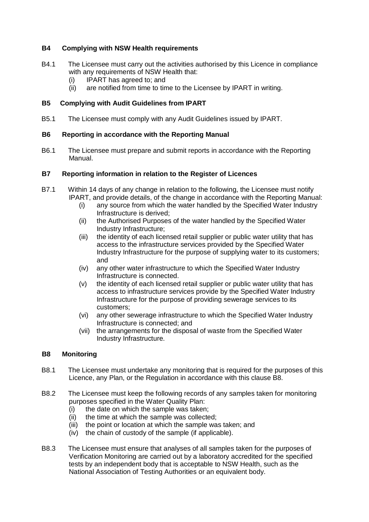#### **B4 Complying with NSW Health requirements**

- B4.1 The Licensee must carry out the activities authorised by this Licence in compliance with any requirements of NSW Health that:
	- (i) IPART has agreed to; and
	- (ii) are notified from time to time to the Licensee by IPART in writing.

#### **B5 Complying with Audit Guidelines from IPART**

B5.1 The Licensee must comply with any Audit Guidelines issued by IPART.

#### **B6 Reporting in accordance with the Reporting Manual**

B6.1 The Licensee must prepare and submit reports in accordance with the Reporting Manual.

#### **B7 Reporting information in relation to the Register of Licences**

- B7.1 Within 14 days of any change in relation to the following, the Licensee must notify IPART, and provide details, of the change in accordance with the Reporting Manual:
	- (i) any source from which the water handled by the Specified Water Industry Infrastructure is derived;
	- (ii) the Authorised Purposes of the water handled by the Specified Water Industry Infrastructure;
	- (iii) the identity of each licensed retail supplier or public water utility that has access to the infrastructure services provided by the Specified Water Industry Infrastructure for the purpose of supplying water to its customers; and
	- (iv) any other water infrastructure to which the Specified Water Industry Infrastructure is connected.
	- (v) the identity of each licensed retail supplier or public water utility that has access to infrastructure services provide by the Specified Water Industry Infrastructure for the purpose of providing sewerage services to its customers;
	- (vi) any other sewerage infrastructure to which the Specified Water Industry Infrastructure is connected; and
	- (vii) the arrangements for the disposal of waste from the Specified Water Industry Infrastructure.

#### <span id="page-10-0"></span>**B8 Monitoring**

- B8.1 The Licensee must undertake any monitoring that is required for the purposes of this Licence, any Plan, or the Regulation in accordance with this clause [B8.](#page-10-0)
- B8.2 The Licensee must keep the following records of any samples taken for monitoring purposes specified in the Water Quality Plan:
	- (i) the date on which the sample was taken;
	- (ii) the time at which the sample was collected;
	- (iii) the point or location at which the sample was taken; and
	- (iv) the chain of custody of the sample (if applicable).
- B8.3 The Licensee must ensure that analyses of all samples taken for the purposes of Verification Monitoring are carried out by a laboratory accredited for the specified tests by an independent body that is acceptable to NSW Health, such as the National Association of Testing Authorities or an equivalent body.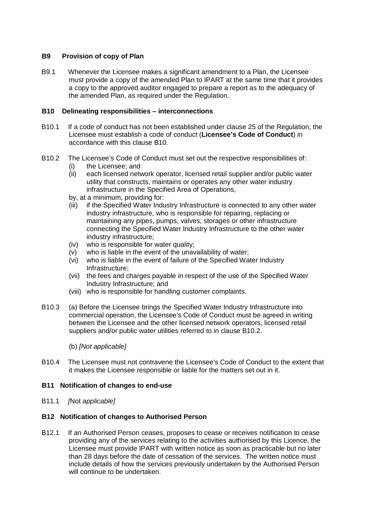#### **B9 Provision of copy of Plan**

B9.1 Whenever the Licensee makes a significant amendment to a Plan, the Licensee must provide a copy of the amended Plan to IPART at the same time that it provides a copy to the approved auditor engaged to prepare a report as to the adequacy of the amended Plan, as required under the Regulation.

#### <span id="page-11-0"></span>**B10 Delineating responsibilities – interconnections**

- <span id="page-11-2"></span>B10.1 If a code of conduct has not been established under clause 25 of the Regulation, the Licensee must establish a code of conduct (**Licensee's Code of Conduct**) in accordance with this clause [B10.](#page-11-0)
- <span id="page-11-1"></span>B10.2 The Licensee's Code of Conduct must set out the respective responsibilities of:
	- (i) the Licensee; and<br>(ii) each licensed netw
	- each licensed network operator, licensed retail supplier and/or public water utility that constructs, maintains or operates any other water industry infrastructure in the Specified Area of Operations,
	- by, at a minimum, providing for:
	- (iii) if the Specified Water Industry Infrastructure is connected to any other water industry infrastructure, who is responsible for repairing, replacing or maintaining any pipes, pumps, valves, storages or other infrastructure connecting the Specified Water Industry Infrastructure to the other water industry infrastructure;
	- (iv) who is responsible for water quality;
	- (v) who is liable in the event of the unavailability of water;
	- (vi) who is liable in the event of failure of the Specified Water Industry Infrastructure;
	- (vii) the fees and charges payable in respect of the use of the Specified Water Industry Infrastructure; and
	- (viii) who is responsible for handling customer complaints.
- B10.3 (a) Before the Licensee brings the Specified Water Industry Infrastructure into commercial operation, the Licensee's Code of Conduct must be agreed in writing between the Licensee and the other licensed network operators, licensed retail suppliers and/or public water utilities referred to in clause [B10.2.](#page-11-1)

(b) *[Not applicable]*

B10.4 The Licensee must not contravene the Licensee's Code of Conduct to the extent that it makes the Licensee responsible or liable for the matters set out in it.

#### **B11 Notification of changes to end-use**

B11.1 *[*Not *applicable]*

#### **B12 Notification of changes to Authorised Person**

B12.1 If an Authorised Person ceases, proposes to cease or receives notification to cease providing any of the services relating to the activities authorised by this Licence, the Licensee must provide IPART with written notice as soon as practicable but no later than 28 days before the date of cessation of the services. The written notice must include details of how the services previously undertaken by the Authorised Person will continue to be undertaken.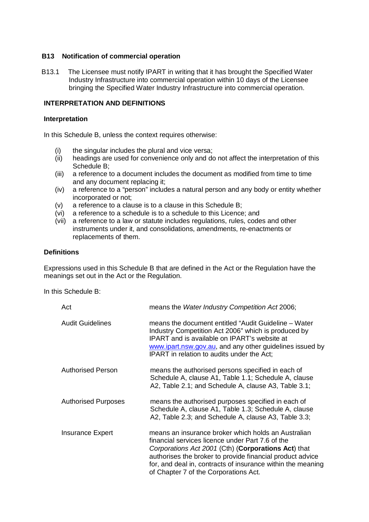#### **B13 Notification of commercial operation**

B13.1 The Licensee must notify IPART in writing that it has brought the Specified Water Industry Infrastructure into commercial operation within 10 days of the Licensee bringing the Specified Water Industry Infrastructure into commercial operation.

#### **INTERPRETATION AND DEFINITIONS**

#### **Interpretation**

In this Schedule B, unless the context requires otherwise:

- (i) the singular includes the plural and vice versa;
- (ii) headings are used for convenience only and do not affect the interpretation of this Schedule B;
- (iii) a reference to a document includes the document as modified from time to time and any document replacing it;
- (iv) a reference to a "person" includes a natural person and any body or entity whether incorporated or not;
- (v) a reference to a clause is to a clause in this Schedule B;
- (vi) a reference to a schedule is to a schedule to this Licence; and
- (vii) a reference to a law or statute includes regulations, rules, codes and other instruments under it, and consolidations, amendments, re-enactments or replacements of them.

#### **Definitions**

Expressions used in this Schedule B that are defined in the Act or the Regulation have the meanings set out in the Act or the Regulation.

In this Schedule B:

| Act                        | means the Water Industry Competition Act 2006;                                                                                                                                                                                                                                                                                      |
|----------------------------|-------------------------------------------------------------------------------------------------------------------------------------------------------------------------------------------------------------------------------------------------------------------------------------------------------------------------------------|
| <b>Audit Guidelines</b>    | means the document entitled "Audit Guideline - Water<br>Industry Competition Act 2006" which is produced by<br><b>IPART</b> and is available on IPART's website at<br>www.ipart.nsw.gov.au, and any other guidelines issued by<br>IPART in relation to audits under the Act;                                                        |
| <b>Authorised Person</b>   | means the authorised persons specified in each of<br>Schedule A, clause A1, Table 1.1; Schedule A, clause<br>A2, Table 2.1; and Schedule A, clause A3, Table 3.1;                                                                                                                                                                   |
| <b>Authorised Purposes</b> | means the authorised purposes specified in each of<br>Schedule A, clause A1, Table 1.3; Schedule A, clause<br>A2, Table 2.3; and Schedule A, clause A3, Table 3.3;                                                                                                                                                                  |
| Insurance Expert           | means an insurance broker which holds an Australian<br>financial services licence under Part 7.6 of the<br>Corporations Act 2001 (Cth) (Corporations Act) that<br>authorises the broker to provide financial product advice<br>for, and deal in, contracts of insurance within the meaning<br>of Chapter 7 of the Corporations Act. |